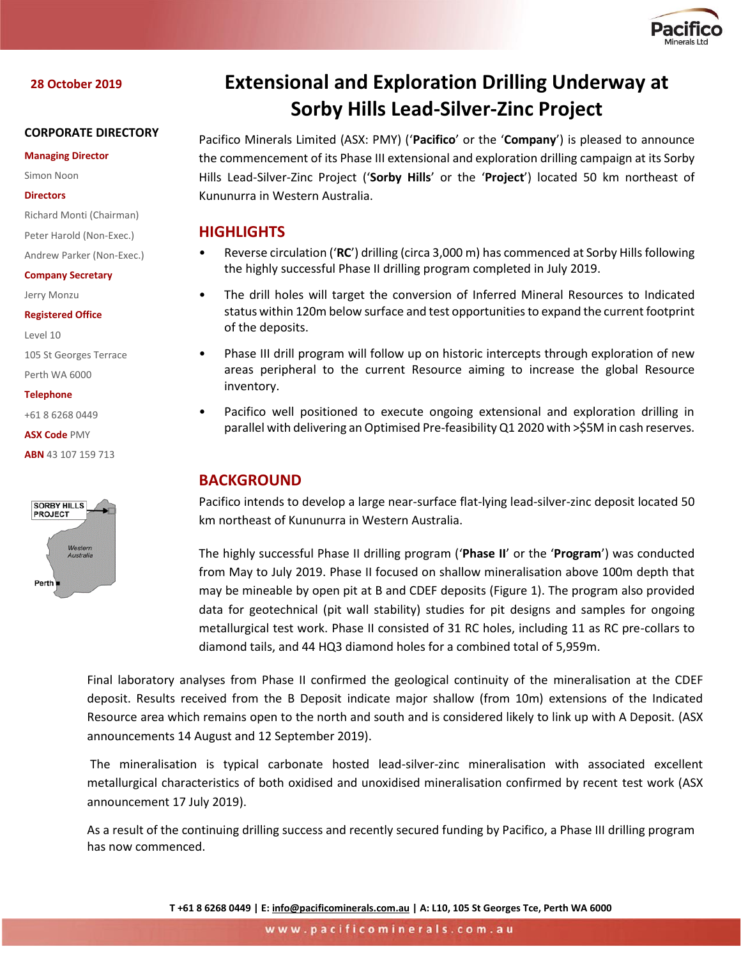

# **28 October 2019**

# **CORPORATE DIRECTORY**

#### **Managing Director**

Simon Noon

#### **Directors**

Richard Monti (Chairman)

Peter Harold (Non-Exec.) Andrew Parker (Non-Exec.)

### **Company Secretary**

Jerry Monzu

#### **Registered Office**

Level 10 105 St Georges Terrace

Perth WA 6000

**Telephone**

+61 8 6268 0449

**ASX Code** PMY

**ABN** 43 107 159 713



# **Extensional and Exploration Drilling Underway at Sorby Hills Lead-Silver-Zinc Project**

Pacifico Minerals Limited (ASX: PMY) ('**Pacifico**' or the '**Company**') is pleased to announce the commencement of its Phase III extensional and exploration drilling campaign at its Sorby Hills Lead-Silver-Zinc Project ('**Sorby Hills**' or the '**Project**') located 50 km northeast of Kununurra in Western Australia.

# **HIGHLIGHTS**

- Reverse circulation ('**RC**') drilling (circa 3,000 m) has commenced at Sorby Hills following the highly successful Phase II drilling program completed in July 2019.
- The drill holes will target the conversion of Inferred Mineral Resources to Indicated status within 120m below surface and test opportunities to expand the current footprint of the deposits.
- Phase III drill program will follow up on historic intercepts through exploration of new areas peripheral to the current Resource aiming to increase the global Resource inventory.
- Pacifico well positioned to execute ongoing extensional and exploration drilling in parallel with delivering an Optimised Pre-feasibility Q1 2020 with >\$5M in cash reserves.

# **BACKGROUND**

Pacifico intends to develop a large near-surface flat-lying lead-silver-zinc deposit located 50 km northeast of Kununurra in Western Australia.

The highly successful Phase II drilling program ('**Phase II**' or the '**Program**') was conducted from May to July 2019. Phase II focused on shallow mineralisation above 100m depth that may be mineable by open pit at B and CDEF deposits (Figure 1). The program also provided data for geotechnical (pit wall stability) studies for pit designs and samples for ongoing metallurgical test work. Phase II consisted of 31 RC holes, including 11 as RC pre-collars to diamond tails, and 44 HQ3 diamond holes for a combined total of 5,959m.

Final laboratory analyses from Phase II confirmed the geological continuity of the mineralisation at the CDEF deposit. Results received from the B Deposit indicate major shallow (from 10m) extensions of the Indicated Resource area which remains open to the north and south and is considered likely to link up with A Deposit. (ASX announcements 14 August and 12 September 2019).

The mineralisation is typical carbonate hosted lead-silver-zinc mineralisation with associated excellent metallurgical characteristics of both oxidised and unoxidised mineralisation confirmed by recent test work (ASX announcement 17 July 2019).

As a result of the continuing drilling success and recently secured funding by Pacifico, a Phase III drilling program has now commenced.

**T +61 8 6268 0449 | E: [info@pacificominerals.com.au](mailto:info@pacificominerals.com.au) | A: L10, 105 St Georges Tce, Perth WA 6000**

www.pacificominerals.com.au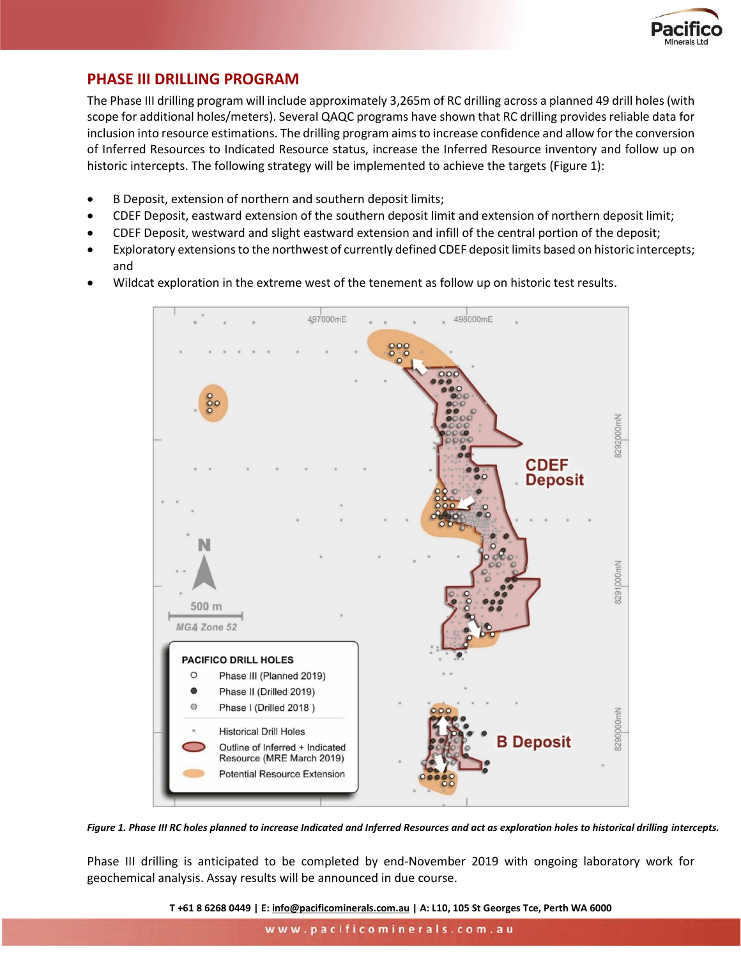

# **PHASE III DRILLING PROGRAM**

The Phase III drilling program will include approximately 3,265m of RC drilling across a planned 49 drill holes (with scope for additional holes/meters). Several QAQC programs have shown that RC drilling provides reliable data for inclusion into resource estimations. The drilling program aims to increase confidence and allow for the conversion of Inferred Resources to Indicated Resource status, increase the Inferred Resource inventory and follow up on historic intercepts. The following strategy will be implemented to achieve the targets (Figure 1):

- B Deposit, extension of northern and southern deposit limits;
- CDEF Deposit, eastward extension of the southern deposit limit and extension of northern deposit limit;
- CDEF Deposit, westward and slight eastward extension and infill of the central portion of the deposit;
- Exploratory extensions to the northwest of currently defined CDEF deposit limits based on historic intercepts; and
- Wildcat exploration in the extreme west of the tenement as follow up on historic test results.



*Figure 1. Phase III RC holes planned to increase Indicated and Inferred Resources and act as exploration holes to historical drilling intercepts.* 

Phase III drilling is anticipated to be completed by end-November 2019 with ongoing laboratory work for geochemical analysis. Assay results will be announced in due course.

**T +61 8 6268 0449 | E: [info@pacificominerals.com.au](mailto:info@pacificominerals.com.au) | A: L10, 105 St Georges Tce, Perth WA 6000**

www.pacificominerals.com.au